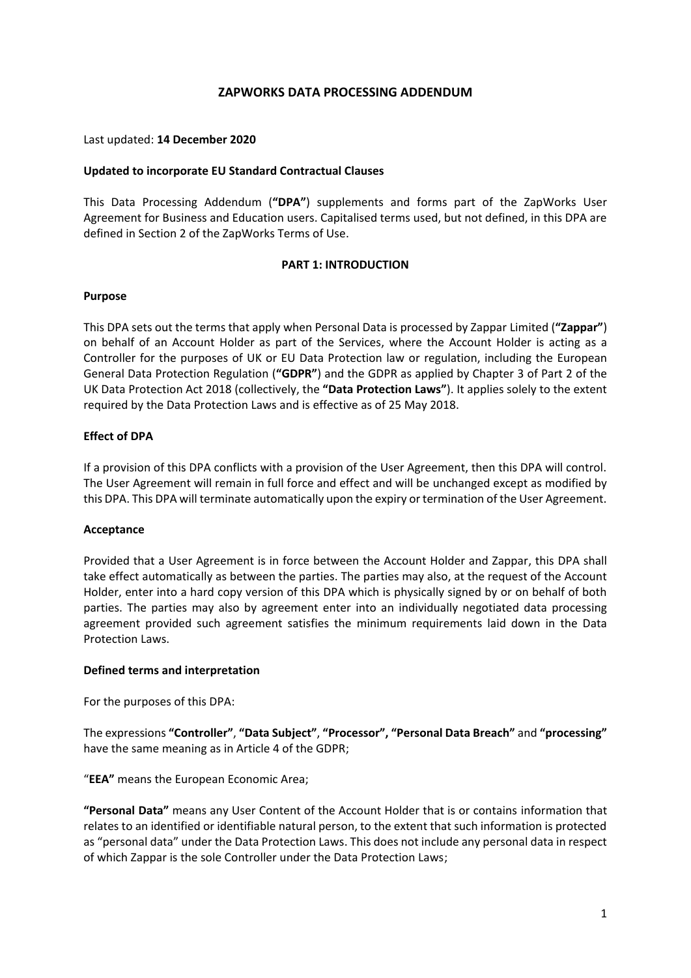## **ZAPWORKS DATA PROCESSING ADDENDUM**

### Last updated: **14 December 2020**

### **Updated to incorporate EU Standard Contractual Clauses**

This Data Processing Addendum (**"DPA"**) supplements and forms part of the ZapWorks User Agreement for Business and Education users. Capitalised terms used, but not defined, in this DPA are defined in Section 2 of the ZapWorks Terms of Use.

### **PART 1: INTRODUCTION**

#### **Purpose**

This DPA sets out the terms that apply when Personal Data is processed by Zappar Limited (**"Zappar"**) on behalf of an Account Holder as part of the Services, where the Account Holder is acting as a Controller for the purposes of UK or EU Data Protection law or regulation, including the European General Data Protection Regulation (**"GDPR"**) and the GDPR as applied by Chapter 3 of Part 2 of the UK Data Protection Act 2018 (collectively, the **"Data Protection Laws"**). It applies solely to the extent required by the Data Protection Laws and is effective as of 25 May 2018.

### **Effect of DPA**

If a provision of this DPA conflicts with a provision of the User Agreement, then this DPA will control. The User Agreement will remain in full force and effect and will be unchanged except as modified by this DPA. This DPA will terminate automatically upon the expiry or termination of the User Agreement.

### **Acceptance**

Provided that a User Agreement is in force between the Account Holder and Zappar, this DPA shall take effect automatically as between the parties. The parties may also, at the request of the Account Holder, enter into a hard copy version of this DPA which is physically signed by or on behalf of both parties. The parties may also by agreement enter into an individually negotiated data processing agreement provided such agreement satisfies the minimum requirements laid down in the Data Protection Laws.

#### **Defined terms and interpretation**

For the purposes of this DPA:

The expressions **"Controller"**, **"Data Subject"**, **"Processor", "Personal Data Breach"** and **"processing"** have the same meaning as in Article 4 of the GDPR;

"**EEA"** means the European Economic Area;

**"Personal Data"** means any User Content of the Account Holder that is or contains information that relates to an identified or identifiable natural person, to the extent that such information is protected as "personal data" under the Data Protection Laws. This does not include any personal data in respect of which Zappar is the sole Controller under the Data Protection Laws;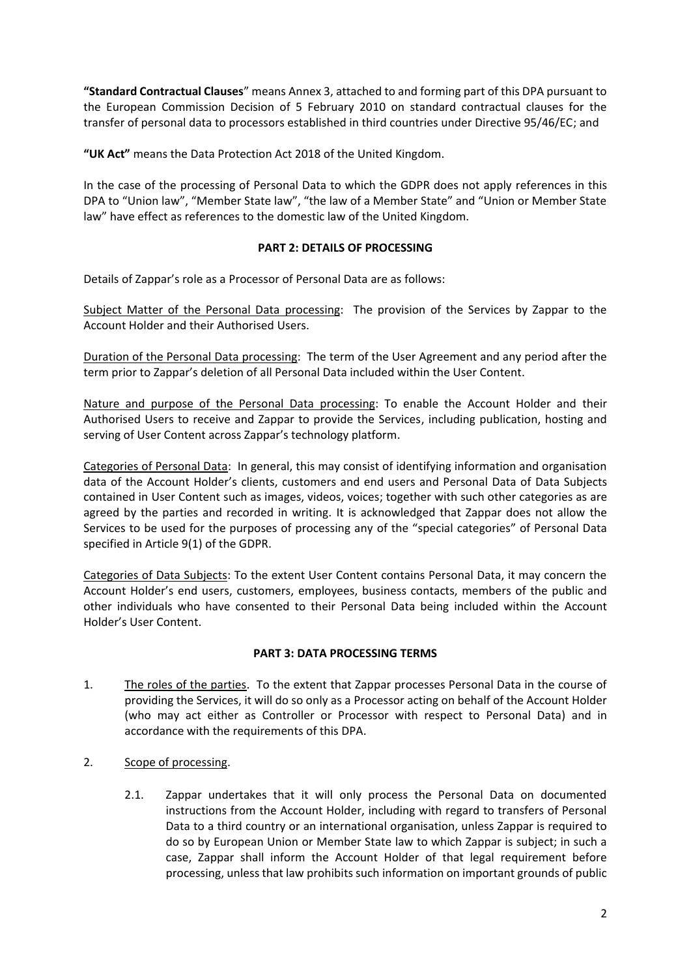**"Standard Contractual Clauses**" means Annex 3, attached to and forming part of this DPA pursuant to the European Commission Decision of 5 February 2010 on standard contractual clauses for the transfer of personal data to processors established in third countries under Directive 95/46/EC; and

**"UK Act"** means the Data Protection Act 2018 of the United Kingdom.

In the case of the processing of Personal Data to which the GDPR does not apply references in this DPA to "Union law", "Member State law", "the law of a Member State" and "Union or Member State law" have effect as references to the domestic law of the United Kingdom.

# **PART 2: DETAILS OF PROCESSING**

Details of Zappar's role as a Processor of Personal Data are as follows:

Subject Matter of the Personal Data processing: The provision of the Services by Zappar to the Account Holder and their Authorised Users.

Duration of the Personal Data processing:The term of the User Agreement and any period after the term prior to Zappar's deletion of all Personal Data included within the User Content.

Nature and purpose of the Personal Data processing: To enable the Account Holder and their Authorised Users to receive and Zappar to provide the Services, including publication, hosting and serving of User Content across Zappar's technology platform.

Categories of Personal Data:In general, this may consist of identifying information and organisation data of the Account Holder's clients, customers and end users and Personal Data of Data Subjects contained in User Content such as images, videos, voices; together with such other categories as are agreed by the parties and recorded in writing. It is acknowledged that Zappar does not allow the Services to be used for the purposes of processing any of the "special categories" of Personal Data specified in Article 9(1) of the GDPR.

Categories of Data Subjects: To the extent User Content contains Personal Data, it may concern the Account Holder's end users, customers, employees, business contacts, members of the public and other individuals who have consented to their Personal Data being included within the Account Holder's User Content.

## **PART 3: DATA PROCESSING TERMS**

- 1. The roles of the parties. To the extent that Zappar processes Personal Data in the course of providing the Services, it will do so only as a Processor acting on behalf of the Account Holder (who may act either as Controller or Processor with respect to Personal Data) and in accordance with the requirements of this DPA.
- 2. Scope of processing.
	- 2.1. Zappar undertakes that it will only process the Personal Data on documented instructions from the Account Holder, including with regard to transfers of Personal Data to a third country or an international organisation, unless Zappar is required to do so by European Union or Member State law to which Zappar is subject; in such a case, Zappar shall inform the Account Holder of that legal requirement before processing, unless that law prohibits such information on important grounds of public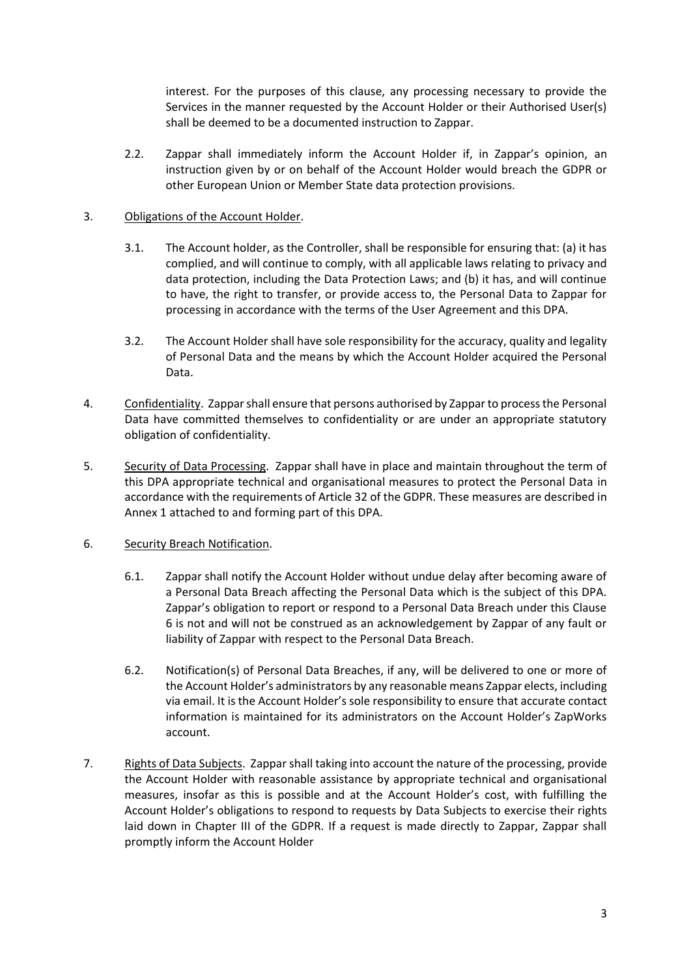interest. For the purposes of this clause, any processing necessary to provide the Services in the manner requested by the Account Holder or their Authorised User(s) shall be deemed to be a documented instruction to Zappar.

2.2. Zappar shall immediately inform the Account Holder if, in Zappar's opinion, an instruction given by or on behalf of the Account Holder would breach the GDPR or other European Union or Member State data protection provisions.

## 3. Obligations of the Account Holder.

- 3.1. The Account holder, as the Controller, shall be responsible for ensuring that: (a) it has complied, and will continue to comply, with all applicable laws relating to privacy and data protection, including the Data Protection Laws; and (b) it has, and will continue to have, the right to transfer, or provide access to, the Personal Data to Zappar for processing in accordance with the terms of the User Agreement and this DPA.
- 3.2. The Account Holder shall have sole responsibility for the accuracy, quality and legality of Personal Data and the means by which the Account Holder acquired the Personal Data.
- 4. Confidentiality. Zappar shall ensure that persons authorised by Zappar to process the Personal Data have committed themselves to confidentiality or are under an appropriate statutory obligation of confidentiality.
- 5. Security of Data Processing. Zappar shall have in place and maintain throughout the term of this DPA appropriate technical and organisational measures to protect the Personal Data in accordance with the requirements of Article 32 of the GDPR. These measures are described in Annex 1 attached to and forming part of this DPA.

### 6. Security Breach Notification.

- 6.1. Zappar shall notify the Account Holder without undue delay after becoming aware of a Personal Data Breach affecting the Personal Data which is the subject of this DPA. Zappar's obligation to report or respond to a Personal Data Breach under this Clause 6 is not and will not be construed as an acknowledgement by Zappar of any fault or liability of Zappar with respect to the Personal Data Breach.
- 6.2. Notification(s) of Personal Data Breaches, if any, will be delivered to one or more of the Account Holder's administrators by any reasonable means Zappar elects, including via email. It is the Account Holder's sole responsibility to ensure that accurate contact information is maintained for its administrators on the Account Holder's ZapWorks account.
- 7. Rights of Data Subjects. Zappar shall taking into account the nature of the processing, provide the Account Holder with reasonable assistance by appropriate technical and organisational measures, insofar as this is possible and at the Account Holder's cost, with fulfilling the Account Holder's obligations to respond to requests by Data Subjects to exercise their rights laid down in Chapter III of the GDPR. If a request is made directly to Zappar, Zappar shall promptly inform the Account Holder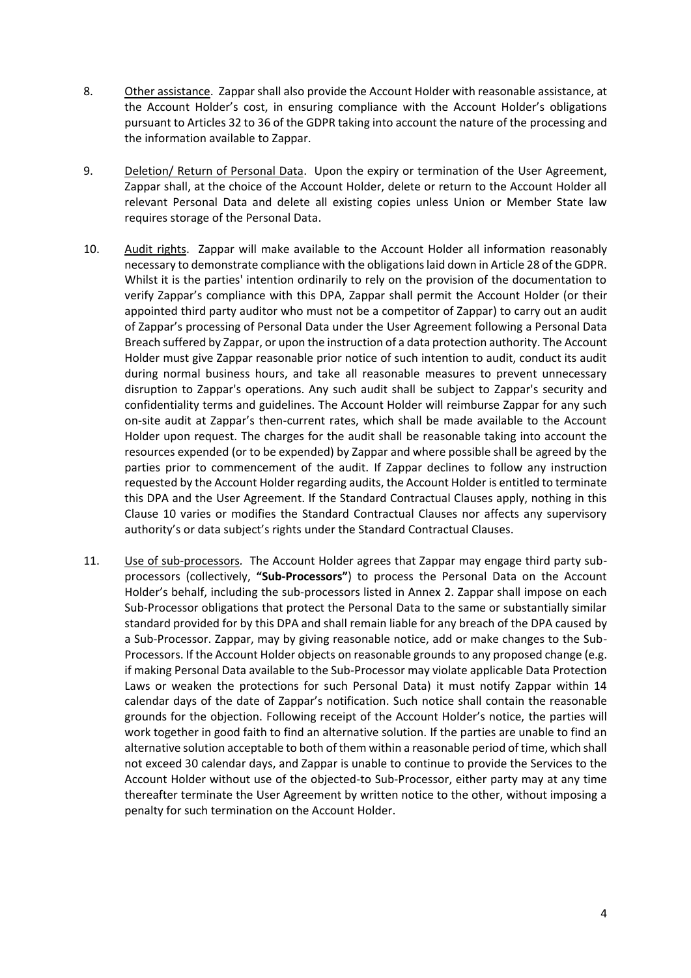- 8. Other assistance. Zappar shall also provide the Account Holder with reasonable assistance, at the Account Holder's cost, in ensuring compliance with the Account Holder's obligations pursuant to Articles 32 to 36 of the GDPR taking into account the nature of the processing and the information available to Zappar.
- 9. Deletion/ Return of Personal Data. Upon the expiry or termination of the User Agreement, Zappar shall, at the choice of the Account Holder, delete or return to the Account Holder all relevant Personal Data and delete all existing copies unless Union or Member State law requires storage of the Personal Data.
- 10. Audit rights. Zappar will make available to the Account Holder all information reasonably necessary to demonstrate compliance with the obligations laid down in Article 28 of the GDPR. Whilst it is the parties' intention ordinarily to rely on the provision of the documentation to verify Zappar's compliance with this DPA, Zappar shall permit the Account Holder (or their appointed third party auditor who must not be a competitor of Zappar) to carry out an audit of Zappar's processing of Personal Data under the User Agreement following a Personal Data Breach suffered by Zappar, or upon the instruction of a data protection authority. The Account Holder must give Zappar reasonable prior notice of such intention to audit, conduct its audit during normal business hours, and take all reasonable measures to prevent unnecessary disruption to Zappar's operations. Any such audit shall be subject to Zappar's security and confidentiality terms and guidelines. The Account Holder will reimburse Zappar for any such on-site audit at Zappar's then-current rates, which shall be made available to the Account Holder upon request. The charges for the audit shall be reasonable taking into account the resources expended (or to be expended) by Zappar and where possible shall be agreed by the parties prior to commencement of the audit. If Zappar declines to follow any instruction requested by the Account Holder regarding audits, the Account Holder is entitled to terminate this DPA and the User Agreement. If the Standard Contractual Clauses apply, nothing in this Clause 10 varies or modifies the Standard Contractual Clauses nor affects any supervisory authority's or data subject's rights under the Standard Contractual Clauses.
- 11. Use of sub-processors*.* The Account Holder agrees that Zappar may engage third party subprocessors (collectively, **"Sub-Processors"**) to process the Personal Data on the Account Holder's behalf, including the sub-processors listed in Annex 2. Zappar shall impose on each Sub-Processor obligations that protect the Personal Data to the same or substantially similar standard provided for by this DPA and shall remain liable for any breach of the DPA caused by a Sub-Processor. Zappar, may by giving reasonable notice, add or make changes to the Sub-Processors. If the Account Holder objects on reasonable grounds to any proposed change (e.g. if making Personal Data available to the Sub-Processor may violate applicable Data Protection Laws or weaken the protections for such Personal Data) it must notify Zappar within 14 calendar days of the date of Zappar's notification. Such notice shall contain the reasonable grounds for the objection. Following receipt of the Account Holder's notice, the parties will work together in good faith to find an alternative solution. If the parties are unable to find an alternative solution acceptable to both of them within a reasonable period of time, which shall not exceed 30 calendar days, and Zappar is unable to continue to provide the Services to the Account Holder without use of the objected-to Sub-Processor, either party may at any time thereafter terminate the User Agreement by written notice to the other, without imposing a penalty for such termination on the Account Holder.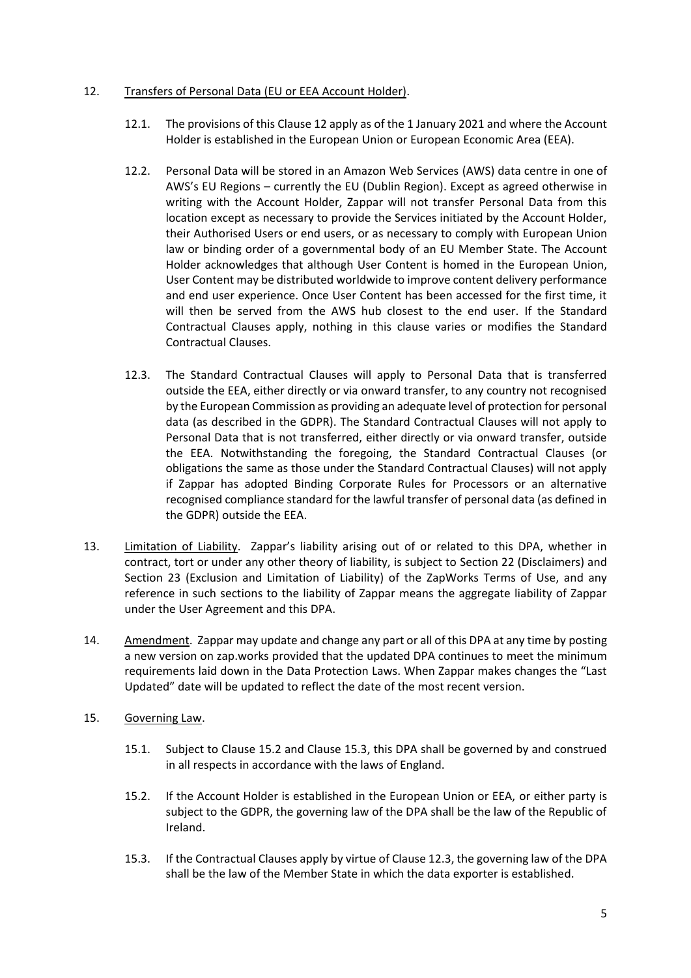## 12. Transfers of Personal Data (EU or EEA Account Holder).

- 12.1. The provisions of this Clause 12 apply as of the 1 January 2021 and where the Account Holder is established in the European Union or European Economic Area (EEA).
- 12.2. Personal Data will be stored in an Amazon Web Services (AWS) data centre in one of AWS's EU Regions – currently the EU (Dublin Region). Except as agreed otherwise in writing with the Account Holder, Zappar will not transfer Personal Data from this location except as necessary to provide the Services initiated by the Account Holder, their Authorised Users or end users, or as necessary to comply with European Union law or binding order of a governmental body of an EU Member State. The Account Holder acknowledges that although User Content is homed in the European Union, User Content may be distributed worldwide to improve content delivery performance and end user experience. Once User Content has been accessed for the first time, it will then be served from the AWS hub closest to the end user. If the Standard Contractual Clauses apply, nothing in this clause varies or modifies the Standard Contractual Clauses.
- 12.3. The Standard Contractual Clauses will apply to Personal Data that is transferred outside the EEA, either directly or via onward transfer, to any country not recognised by the European Commission as providing an adequate level of protection for personal data (as described in the GDPR). The Standard Contractual Clauses will not apply to Personal Data that is not transferred, either directly or via onward transfer, outside the EEA. Notwithstanding the foregoing, the Standard Contractual Clauses (or obligations the same as those under the Standard Contractual Clauses) will not apply if Zappar has adopted Binding Corporate Rules for Processors or an alternative recognised compliance standard for the lawful transfer of personal data (as defined in the GDPR) outside the EEA.
- 13. Limitation of Liability. Zappar's liability arising out of or related to this DPA, whether in contract, tort or under any other theory of liability, is subject to Section 22 (Disclaimers) and Section 23 (Exclusion and Limitation of Liability) of the ZapWorks Terms of Use, and any reference in such sections to the liability of Zappar means the aggregate liability of Zappar under the User Agreement and this DPA.
- 14. Amendment. Zappar may update and change any part or all of this DPA at any time by posting a new version on zap.works provided that the updated DPA continues to meet the minimum requirements laid down in the Data Protection Laws. When Zappar makes changes the "Last Updated" date will be updated to reflect the date of the most recent version.
- 15. Governing Law.
	- 15.1. Subject to Clause 15.2 and Clause 15.3, this DPA shall be governed by and construed in all respects in accordance with the laws of England.
	- 15.2. If the Account Holder is established in the European Union or EEA, or either party is subject to the GDPR, the governing law of the DPA shall be the law of the Republic of Ireland.
	- 15.3. If the Contractual Clauses apply by virtue of Clause 12.3, the governing law of the DPA shall be the law of the Member State in which the data exporter is established.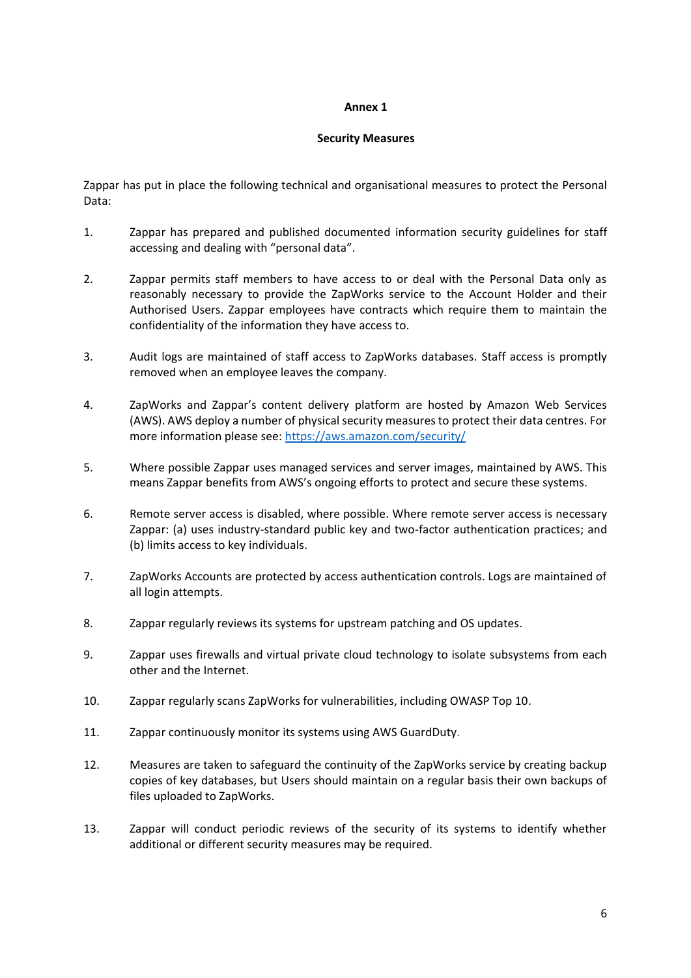### **Annex 1**

### **Security Measures**

Zappar has put in place the following technical and organisational measures to protect the Personal Data:

- 1. Zappar has prepared and published documented information security guidelines for staff accessing and dealing with "personal data".
- 2. Zappar permits staff members to have access to or deal with the Personal Data only as reasonably necessary to provide the ZapWorks service to the Account Holder and their Authorised Users. Zappar employees have contracts which require them to maintain the confidentiality of the information they have access to.
- 3. Audit logs are maintained of staff access to ZapWorks databases. Staff access is promptly removed when an employee leaves the company.
- 4. ZapWorks and Zappar's content delivery platform are hosted by Amazon Web Services (AWS). AWS deploy a number of physical security measures to protect their data centres. For more information please see: https://aws.amazon.com/security/
- 5. Where possible Zappar uses managed services and server images, maintained by AWS. This means Zappar benefits from AWS's ongoing efforts to protect and secure these systems.
- 6. Remote server access is disabled, where possible. Where remote server access is necessary Zappar: (a) uses industry-standard public key and two-factor authentication practices; and (b) limits access to key individuals.
- 7. ZapWorks Accounts are protected by access authentication controls. Logs are maintained of all login attempts.
- 8. Zappar regularly reviews its systems for upstream patching and OS updates.
- 9. Zappar uses firewalls and virtual private cloud technology to isolate subsystems from each other and the Internet.
- 10. Zappar regularly scans ZapWorks for vulnerabilities, including OWASP Top 10.
- 11. Zappar continuously monitor its systems using AWS GuardDuty.
- 12. Measures are taken to safeguard the continuity of the ZapWorks service by creating backup copies of key databases, but Users should maintain on a regular basis their own backups of files uploaded to ZapWorks.
- 13. Zappar will conduct periodic reviews of the security of its systems to identify whether additional or different security measures may be required.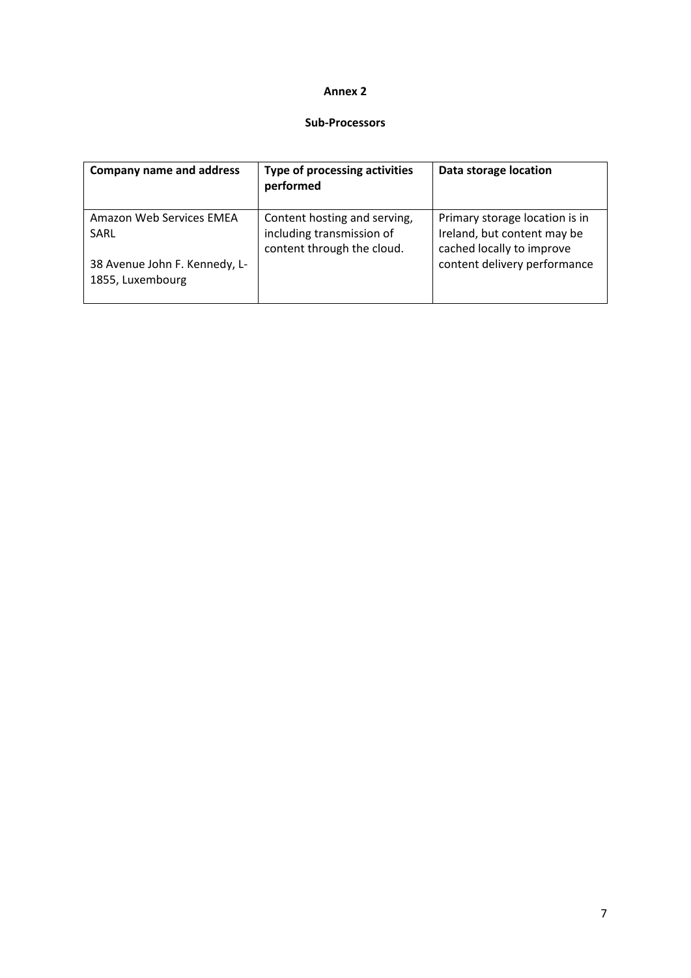### **Annex 2**

## **Sub-Processors**

| <b>Company name and address</b>                   | <b>Type of processing activities</b><br>performed                                       | Data storage location                                                                      |
|---------------------------------------------------|-----------------------------------------------------------------------------------------|--------------------------------------------------------------------------------------------|
| Amazon Web Services EMEA<br>SARL                  | Content hosting and serving,<br>including transmission of<br>content through the cloud. | Primary storage location is in<br>Ireland, but content may be<br>cached locally to improve |
| 38 Avenue John F. Kennedy, L-<br>1855, Luxembourg |                                                                                         | content delivery performance                                                               |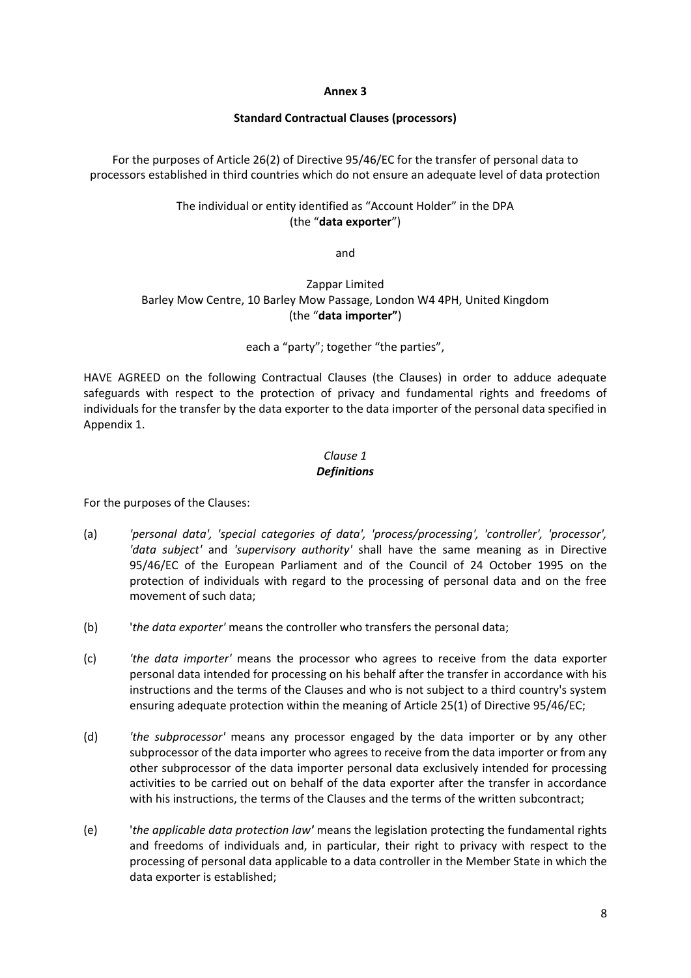### **Annex 3**

### **Standard Contractual Clauses (processors)**

For the purposes of Article 26(2) of Directive 95/46/EC for the transfer of personal data to processors established in third countries which do not ensure an adequate level of data protection

## The individual or entity identified as "Account Holder" in the DPA (the "**data exporter**")

and

## Zappar Limited Barley Mow Centre, 10 Barley Mow Passage, London W4 4PH, United Kingdom (the "**data importer"**)

### each a "party"; together "the parties",

HAVE AGREED on the following Contractual Clauses (the Clauses) in order to adduce adequate safeguards with respect to the protection of privacy and fundamental rights and freedoms of individuals for the transfer by the data exporter to the data importer of the personal data specified in Appendix 1.

### *Clause 1 Definitions*

For the purposes of the Clauses:

- (a) *'personal data', 'special categories of data', 'process/processing', 'controller', 'processor', 'data subject'* and *'supervisory authority'* shall have the same meaning as in Directive 95/46/EC of the European Parliament and of the Council of 24 October 1995 on the protection of individuals with regard to the processing of personal data and on the free movement of such data;
- (b) '*the data exporter'* means the controller who transfers the personal data;
- (c) *'the data importer'* means the processor who agrees to receive from the data exporter personal data intended for processing on his behalf after the transfer in accordance with his instructions and the terms of the Clauses and who is not subject to a third country's system ensuring adequate protection within the meaning of Article 25(1) of Directive 95/46/EC;
- (d) *'the subprocessor'* means any processor engaged by the data importer or by any other subprocessor of the data importer who agrees to receive from the data importer or from any other subprocessor of the data importer personal data exclusively intended for processing activities to be carried out on behalf of the data exporter after the transfer in accordance with his instructions, the terms of the Clauses and the terms of the written subcontract;
- (e) '*the applicable data protection law'* means the legislation protecting the fundamental rights and freedoms of individuals and, in particular, their right to privacy with respect to the processing of personal data applicable to a data controller in the Member State in which the data exporter is established;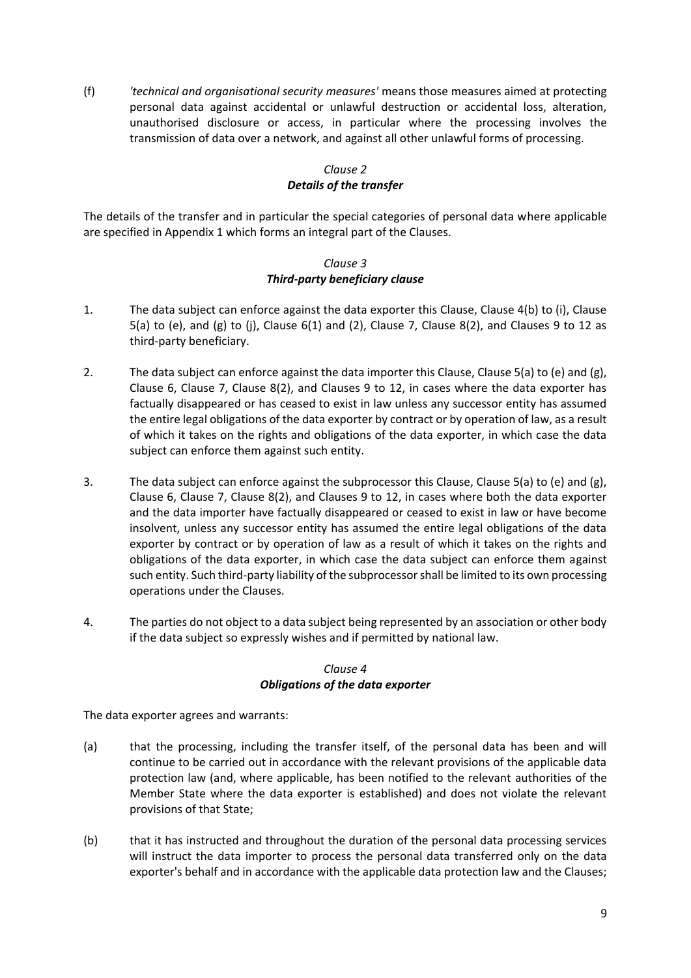(f) *'technical and organisational security measures'* means those measures aimed at protecting personal data against accidental or unlawful destruction or accidental loss, alteration, unauthorised disclosure or access, in particular where the processing involves the transmission of data over a network, and against all other unlawful forms of processing.

# *Clause 2 Details of the transfer*

The details of the transfer and in particular the special categories of personal data where applicable are specified in Appendix 1 which forms an integral part of the Clauses.

## *Clause 3 Third-party beneficiary clause*

- 1. The data subject can enforce against the data exporter this Clause, Clause 4(b) to (i), Clause 5(a) to (e), and (g) to (j), Clause 6(1) and (2), Clause 7, Clause 8(2), and Clauses 9 to 12 as third-party beneficiary.
- 2. The data subject can enforce against the data importer this Clause, Clause 5(a) to (e) and (g), Clause 6, Clause 7, Clause 8(2), and Clauses 9 to 12, in cases where the data exporter has factually disappeared or has ceased to exist in law unless any successor entity has assumed the entire legal obligations of the data exporter by contract or by operation of law, as a result of which it takes on the rights and obligations of the data exporter, in which case the data subject can enforce them against such entity.
- 3. The data subject can enforce against the subprocessor this Clause, Clause 5(a) to (e) and (g), Clause 6, Clause 7, Clause 8(2), and Clauses 9 to 12, in cases where both the data exporter and the data importer have factually disappeared or ceased to exist in law or have become insolvent, unless any successor entity has assumed the entire legal obligations of the data exporter by contract or by operation of law as a result of which it takes on the rights and obligations of the data exporter, in which case the data subject can enforce them against such entity. Such third-party liability of the subprocessor shall be limited to its own processing operations under the Clauses.
- 4. The parties do not object to a data subject being represented by an association or other body if the data subject so expressly wishes and if permitted by national law.

## *Clause 4 Obligations of the data exporter*

The data exporter agrees and warrants:

- (a) that the processing, including the transfer itself, of the personal data has been and will continue to be carried out in accordance with the relevant provisions of the applicable data protection law (and, where applicable, has been notified to the relevant authorities of the Member State where the data exporter is established) and does not violate the relevant provisions of that State;
- (b) that it has instructed and throughout the duration of the personal data processing services will instruct the data importer to process the personal data transferred only on the data exporter's behalf and in accordance with the applicable data protection law and the Clauses;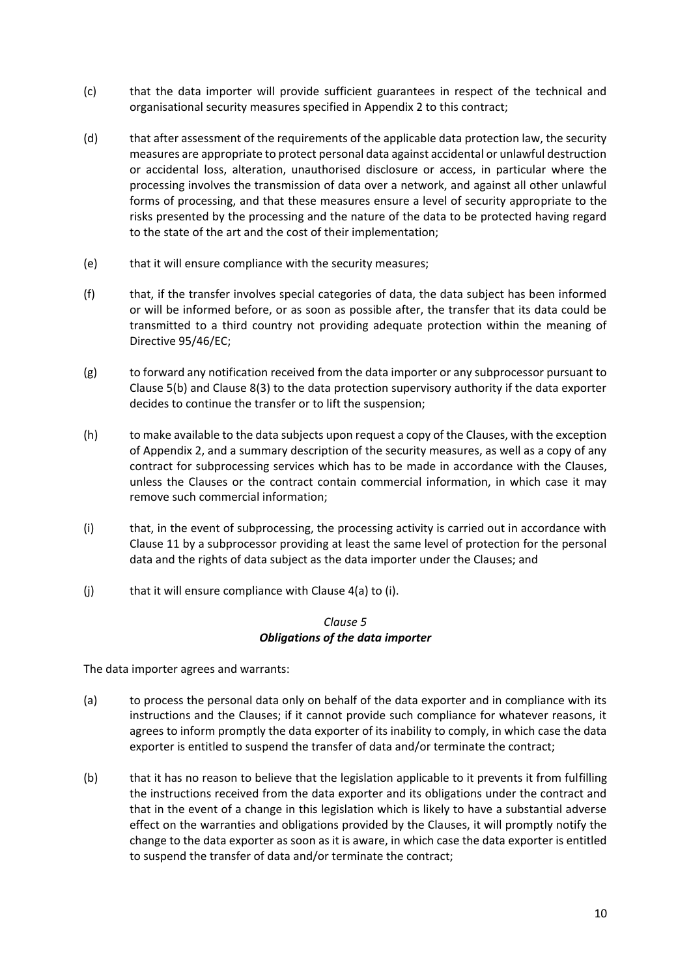- (c) that the data importer will provide sufficient guarantees in respect of the technical and organisational security measures specified in Appendix 2 to this contract;
- (d) that after assessment of the requirements of the applicable data protection law, the security measures are appropriate to protect personal data against accidental or unlawful destruction or accidental loss, alteration, unauthorised disclosure or access, in particular where the processing involves the transmission of data over a network, and against all other unlawful forms of processing, and that these measures ensure a level of security appropriate to the risks presented by the processing and the nature of the data to be protected having regard to the state of the art and the cost of their implementation;
- (e) that it will ensure compliance with the security measures;
- (f) that, if the transfer involves special categories of data, the data subject has been informed or will be informed before, or as soon as possible after, the transfer that its data could be transmitted to a third country not providing adequate protection within the meaning of Directive 95/46/EC;
- (g) to forward any notification received from the data importer or any subprocessor pursuant to Clause 5(b) and Clause 8(3) to the data protection supervisory authority if the data exporter decides to continue the transfer or to lift the suspension;
- (h) to make available to the data subjects upon request a copy of the Clauses, with the exception of Appendix 2, and a summary description of the security measures, as well as a copy of any contract for subprocessing services which has to be made in accordance with the Clauses, unless the Clauses or the contract contain commercial information, in which case it may remove such commercial information;
- (i) that, in the event of subprocessing, the processing activity is carried out in accordance with Clause 11 by a subprocessor providing at least the same level of protection for the personal data and the rights of data subject as the data importer under the Clauses; and
- (i) that it will ensure compliance with Clause  $4(a)$  to (i).

## *Clause 5 Obligations of the data importer*

The data importer agrees and warrants:

- (a) to process the personal data only on behalf of the data exporter and in compliance with its instructions and the Clauses; if it cannot provide such compliance for whatever reasons, it agrees to inform promptly the data exporter of its inability to comply, in which case the data exporter is entitled to suspend the transfer of data and/or terminate the contract;
- (b) that it has no reason to believe that the legislation applicable to it prevents it from fulfilling the instructions received from the data exporter and its obligations under the contract and that in the event of a change in this legislation which is likely to have a substantial adverse effect on the warranties and obligations provided by the Clauses, it will promptly notify the change to the data exporter as soon as it is aware, in which case the data exporter is entitled to suspend the transfer of data and/or terminate the contract;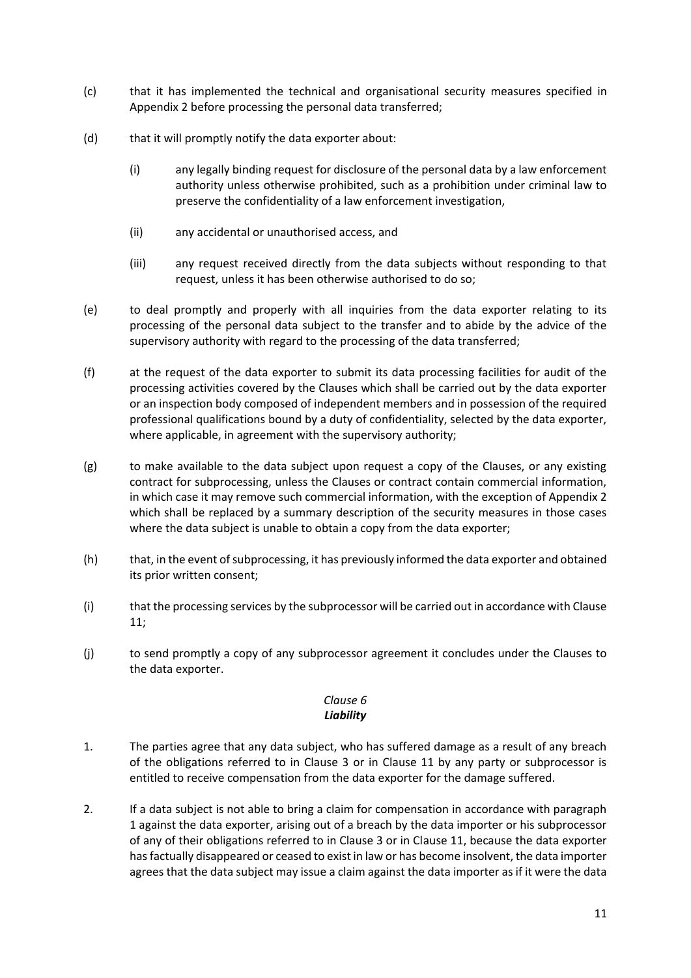- (c) that it has implemented the technical and organisational security measures specified in Appendix 2 before processing the personal data transferred;
- (d) that it will promptly notify the data exporter about:
	- (i) any legally binding request for disclosure of the personal data by a law enforcement authority unless otherwise prohibited, such as a prohibition under criminal law to preserve the confidentiality of a law enforcement investigation,
	- (ii) any accidental or unauthorised access, and
	- (iii) any request received directly from the data subjects without responding to that request, unless it has been otherwise authorised to do so;
- (e) to deal promptly and properly with all inquiries from the data exporter relating to its processing of the personal data subject to the transfer and to abide by the advice of the supervisory authority with regard to the processing of the data transferred;
- (f) at the request of the data exporter to submit its data processing facilities for audit of the processing activities covered by the Clauses which shall be carried out by the data exporter or an inspection body composed of independent members and in possession of the required professional qualifications bound by a duty of confidentiality, selected by the data exporter, where applicable, in agreement with the supervisory authority;
- (g) to make available to the data subject upon request a copy of the Clauses, or any existing contract for subprocessing, unless the Clauses or contract contain commercial information, in which case it may remove such commercial information, with the exception of Appendix 2 which shall be replaced by a summary description of the security measures in those cases where the data subject is unable to obtain a copy from the data exporter;
- (h) that, in the event of subprocessing, it has previously informed the data exporter and obtained its prior written consent;
- (i) that the processing services by the subprocessor will be carried out in accordance with Clause 11;
- (j) to send promptly a copy of any subprocessor agreement it concludes under the Clauses to the data exporter.

## *Clause 6 Liability*

- 1. The parties agree that any data subject, who has suffered damage as a result of any breach of the obligations referred to in Clause 3 or in Clause 11 by any party or subprocessor is entitled to receive compensation from the data exporter for the damage suffered.
- 2. If a data subject is not able to bring a claim for compensation in accordance with paragraph 1 against the data exporter, arising out of a breach by the data importer or his subprocessor of any of their obligations referred to in Clause 3 or in Clause 11, because the data exporter has factually disappeared or ceased to exist in law or has become insolvent, the data importer agrees that the data subject may issue a claim against the data importer as if it were the data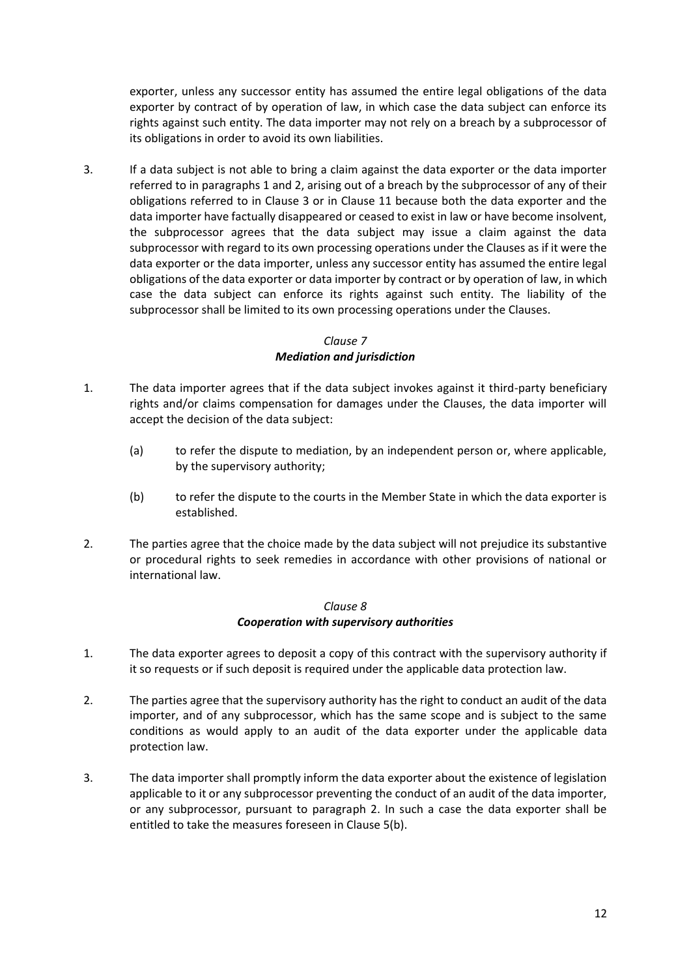exporter, unless any successor entity has assumed the entire legal obligations of the data exporter by contract of by operation of law, in which case the data subject can enforce its rights against such entity. The data importer may not rely on a breach by a subprocessor of its obligations in order to avoid its own liabilities.

3. If a data subject is not able to bring a claim against the data exporter or the data importer referred to in paragraphs 1 and 2, arising out of a breach by the subprocessor of any of their obligations referred to in Clause 3 or in Clause 11 because both the data exporter and the data importer have factually disappeared or ceased to exist in law or have become insolvent, the subprocessor agrees that the data subject may issue a claim against the data subprocessor with regard to its own processing operations under the Clauses as if it were the data exporter or the data importer, unless any successor entity has assumed the entire legal obligations of the data exporter or data importer by contract or by operation of law, in which case the data subject can enforce its rights against such entity. The liability of the subprocessor shall be limited to its own processing operations under the Clauses.

# *Clause 7 Mediation and jurisdiction*

- 1. The data importer agrees that if the data subject invokes against it third-party beneficiary rights and/or claims compensation for damages under the Clauses, the data importer will accept the decision of the data subject:
	- (a) to refer the dispute to mediation, by an independent person or, where applicable, by the supervisory authority;
	- (b) to refer the dispute to the courts in the Member State in which the data exporter is established.
- 2. The parties agree that the choice made by the data subject will not prejudice its substantive or procedural rights to seek remedies in accordance with other provisions of national or international law.

### *Clause 8*

## *Cooperation with supervisory authorities*

- 1. The data exporter agrees to deposit a copy of this contract with the supervisory authority if it so requests or if such deposit is required under the applicable data protection law.
- 2. The parties agree that the supervisory authority has the right to conduct an audit of the data importer, and of any subprocessor, which has the same scope and is subject to the same conditions as would apply to an audit of the data exporter under the applicable data protection law.
- 3. The data importer shall promptly inform the data exporter about the existence of legislation applicable to it or any subprocessor preventing the conduct of an audit of the data importer, or any subprocessor, pursuant to paragraph 2. In such a case the data exporter shall be entitled to take the measures foreseen in Clause 5(b).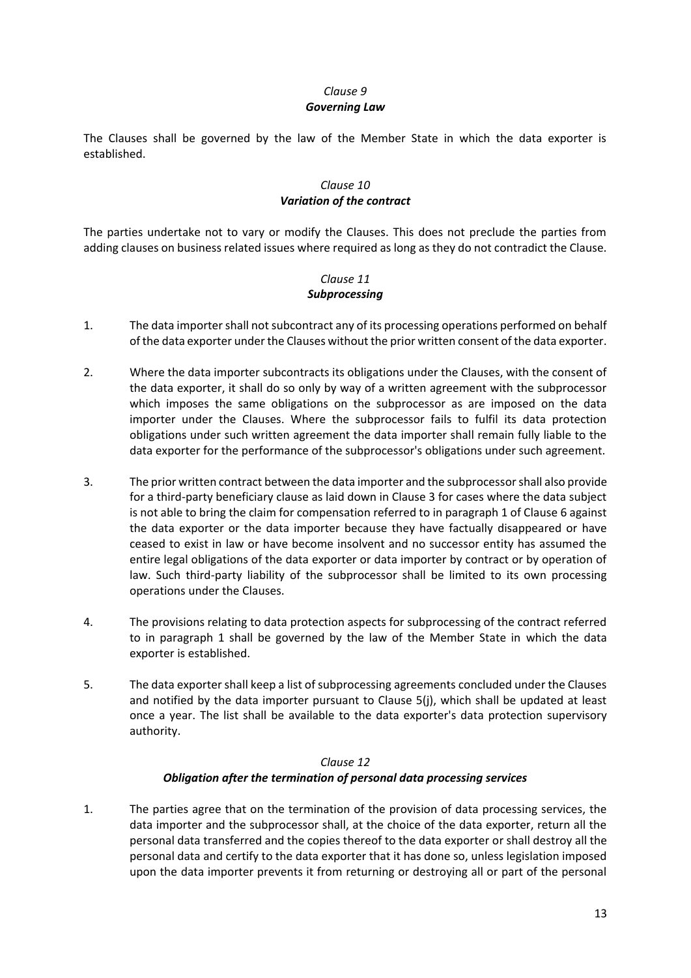## *Clause 9 Governing Law*

The Clauses shall be governed by the law of the Member State in which the data exporter is established.

## *Clause 10 Variation of the contract*

The parties undertake not to vary or modify the Clauses. This does not preclude the parties from adding clauses on business related issues where required as long as they do not contradict the Clause.

## *Clause 11 Subprocessing*

- 1. The data importer shall not subcontract any of its processing operations performed on behalf of the data exporter under the Clauses without the prior written consent of the data exporter.
- 2. Where the data importer subcontracts its obligations under the Clauses, with the consent of the data exporter, it shall do so only by way of a written agreement with the subprocessor which imposes the same obligations on the subprocessor as are imposed on the data importer under the Clauses. Where the subprocessor fails to fulfil its data protection obligations under such written agreement the data importer shall remain fully liable to the data exporter for the performance of the subprocessor's obligations under such agreement.
- 3. The prior written contract between the data importer and the subprocessor shall also provide for a third-party beneficiary clause as laid down in Clause 3 for cases where the data subject is not able to bring the claim for compensation referred to in paragraph 1 of Clause 6 against the data exporter or the data importer because they have factually disappeared or have ceased to exist in law or have become insolvent and no successor entity has assumed the entire legal obligations of the data exporter or data importer by contract or by operation of law. Such third-party liability of the subprocessor shall be limited to its own processing operations under the Clauses.
- 4. The provisions relating to data protection aspects for subprocessing of the contract referred to in paragraph 1 shall be governed by the law of the Member State in which the data exporter is established.
- 5. The data exporter shall keep a list of subprocessing agreements concluded under the Clauses and notified by the data importer pursuant to Clause 5(j), which shall be updated at least once a year. The list shall be available to the data exporter's data protection supervisory authority.

## *Clause 12 Obligation after the termination of personal data processing services*

1. The parties agree that on the termination of the provision of data processing services, the data importer and the subprocessor shall, at the choice of the data exporter, return all the personal data transferred and the copies thereof to the data exporter or shall destroy all the personal data and certify to the data exporter that it has done so, unless legislation imposed upon the data importer prevents it from returning or destroying all or part of the personal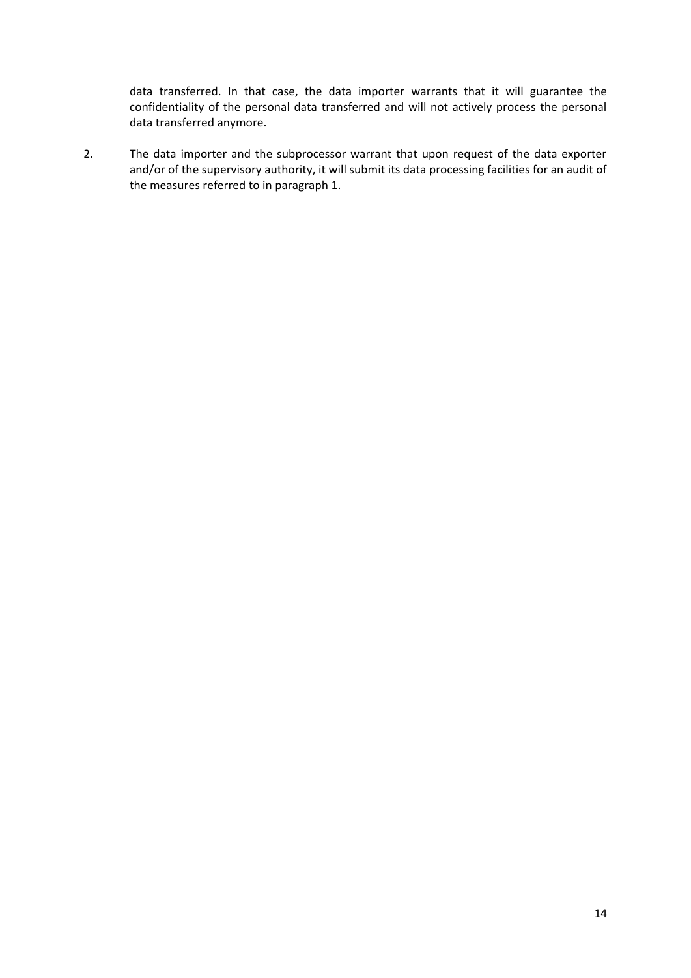data transferred. In that case, the data importer warrants that it will guarantee the confidentiality of the personal data transferred and will not actively process the personal data transferred anymore.

2. The data importer and the subprocessor warrant that upon request of the data exporter and/or of the supervisory authority, it will submit its data processing facilities for an audit of the measures referred to in paragraph 1.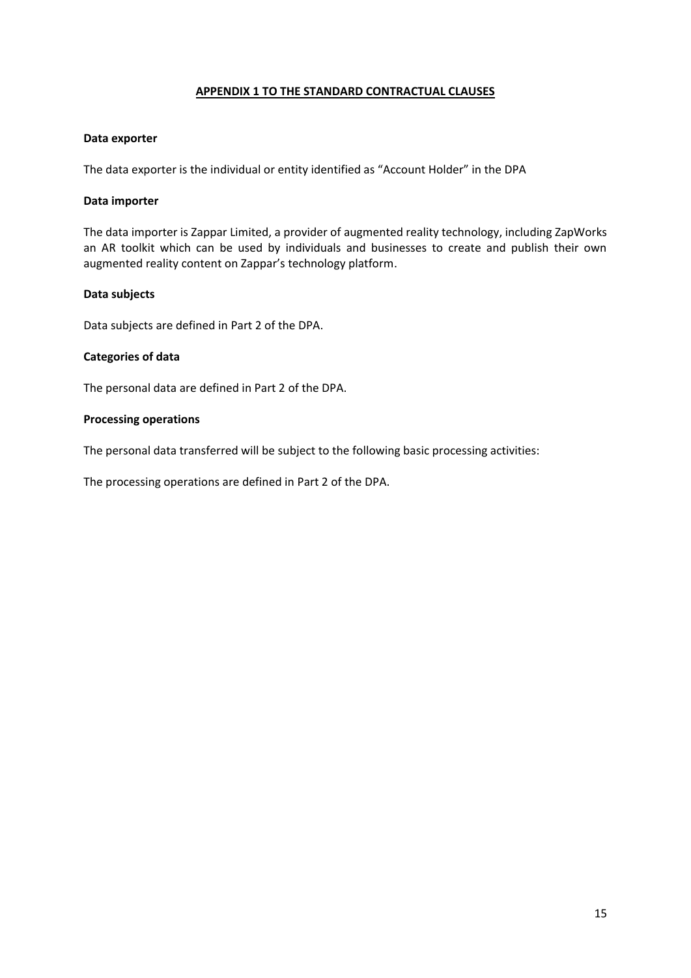### **APPENDIX 1 TO THE STANDARD CONTRACTUAL CLAUSES**

### **Data exporter**

The data exporter is the individual or entity identified as "Account Holder" in the DPA

### **Data importer**

The data importer is Zappar Limited, a provider of augmented reality technology, including ZapWorks an AR toolkit which can be used by individuals and businesses to create and publish their own augmented reality content on Zappar's technology platform.

### **Data subjects**

Data subjects are defined in Part 2 of the DPA.

### **Categories of data**

The personal data are defined in Part 2 of the DPA.

#### **Processing operations**

The personal data transferred will be subject to the following basic processing activities:

The processing operations are defined in Part 2 of the DPA.